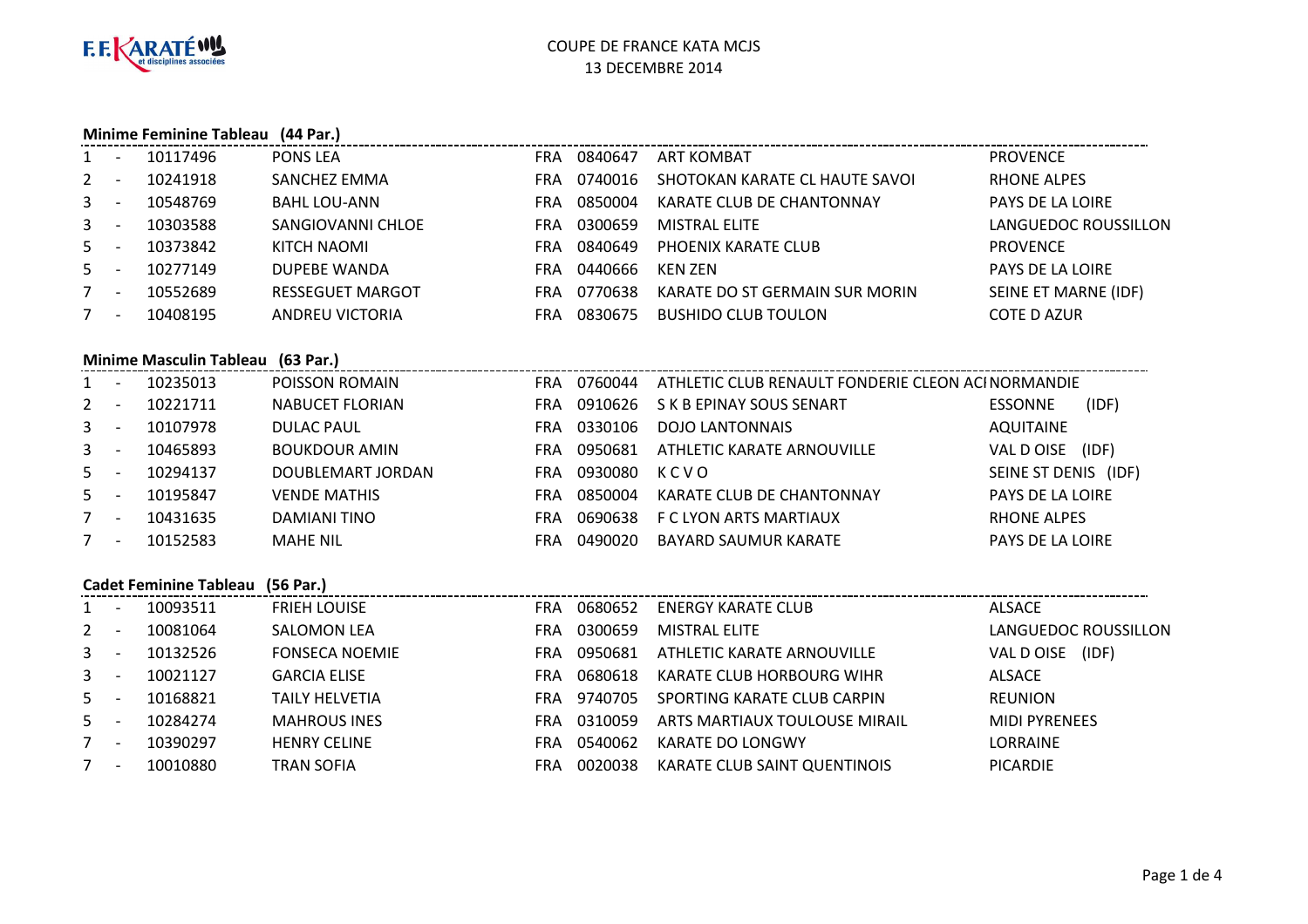

# COUPE DE FRANCE KATA MCJS13 DECEMBRE 2014

### **Minime Feminine Tableau (44 Par.)**

| $1 -$   | 10117496 | PONS LEA                | <b>FRA</b> | 0840647 | ART KOMBAT                     | PROVENCE                |
|---------|----------|-------------------------|------------|---------|--------------------------------|-------------------------|
| $2 -$   | 10241918 | SANCHEZ EMMA            | FRA.       | 0740016 | SHOTOKAN KARATE CL HAUTE SAVOI | <b>RHONE ALPES</b>      |
| $3 - 5$ | 10548769 | <b>BAHL LOU-ANN</b>     | <b>FRA</b> | 0850004 | KARATE CLUB DE CHANTONNAY      | PAYS DE LA LOIRE        |
| $3 - 5$ | 10303588 | SANGIOVANNI CHLOE       | <b>FRA</b> | 0300659 | <b>MISTRAL ELITE</b>           | LANGUEDOC ROUSSILLON    |
| $5 -$   | 10373842 | KITCH NAOMI             | <b>FRA</b> | 0840649 | PHOENIX KARATE CLUB            | <b>PROVENCE</b>         |
| $5 -$   | 10277149 | <b>DUPEBE WANDA</b>     | <b>FRA</b> | 0440666 | KEN ZEN                        | <b>PAYS DE LA LOIRE</b> |
| $7 -$   | 10552689 | <b>RESSEGUET MARGOT</b> | <b>FRA</b> | 0770638 | KARATE DO ST GERMAIN SUR MORIN | SEINE ET MARNE (IDF)    |
| $7 -$   | 10408195 | ANDREU VICTORIA         | FRA        | 0830675 | <b>BUSHIDO CLUB TOULON</b>     | COTE D AZUR             |
|         |          |                         |            |         |                                |                         |

### **Minime Masculin Tableau (63 Par.)**

| $1 -$          |        | 10235013 | POISSON ROMAIN       | <b>FRA</b> | 0760044 | ATHLETIC CLUB RENAULT FONDERIE CLEON ACI NORMANDIE |                         |
|----------------|--------|----------|----------------------|------------|---------|----------------------------------------------------|-------------------------|
| $2 -$          |        | 10221711 | NABUCET FLORIAN      | FRA        | 0910626 | S K B EPINAY SOUS SENART                           | (IDF)<br><b>ESSONNE</b> |
| $3 -$          |        | 10107978 | DULAC PAUL           | FRA.       | 0330106 | <b>DOJO LANTONNAIS</b>                             | AQUITAINE               |
| 3 <sup>7</sup> | $\sim$ | 10465893 | <b>BOUKDOUR AMIN</b> | FRA.       | 0950681 | ATHLETIC KARATE ARNOUVILLE                         | (IDF)<br>VAL D OISE     |
| $5 -$          |        | 10294137 | DOUBLEMART JORDAN    | FRA.       | 0930080 | KCVO                                               | SEINE ST DENIS (IDF)    |
| $5 -$          |        | 10195847 | <b>VENDE MATHIS</b>  | FRA.       | 0850004 | KARATE CLUB DE CHANTONNAY                          | <b>PAYS DE LA LOIRE</b> |
| $7 -$          |        | 10431635 | DAMIANI TINO         | <b>FRA</b> | 0690638 | F C LYON ARTS MARTIAUX                             | <b>RHONE ALPES</b>      |
| $7 -$          |        | 10152583 | MAHE NIL             | <b>FRA</b> | 0490020 | <b>BAYARD SAUMUR KARATE</b>                        | PAYS DE LA LOIRE        |

### **Cadet Feminine Tableau (56 Par.)**

|              | Cauct Fellilling Tableau<br>ו.ווא טכו |          |                       |     |         |                               |                      |  |  |  |  |
|--------------|---------------------------------------|----------|-----------------------|-----|---------|-------------------------------|----------------------|--|--|--|--|
| 1            |                                       | 10093511 | <b>FRIEH LOUISE</b>   | FRA | 0680652 | ENERGY KARATE CLUB            | <b>ALSACE</b>        |  |  |  |  |
| $2^{\circ}$  |                                       | 10081064 | <b>SALOMON LEA</b>    | FRA | 0300659 | <b>MISTRAL ELITE</b>          | LANGUEDOC ROUSSILLON |  |  |  |  |
| $\mathbf{3}$ |                                       | 10132526 | <b>FONSECA NOEMIE</b> | FRA | 0950681 | ATHLETIC KARATE ARNOUVILLE    | (IDF)<br>VAL D OISE  |  |  |  |  |
| $\mathbf{3}$ |                                       | 10021127 | <b>GARCIA ELISE</b>   | FRA | 0680618 | KARATE CLUB HORBOURG WIHR     | <b>ALSACE</b>        |  |  |  |  |
| $5 -$        |                                       | 10168821 | <b>TAILY HELVETIA</b> | FRA | 9740705 | SPORTING KARATE CLUB CARPIN   | <b>REUNION</b>       |  |  |  |  |
| 5            |                                       | 10284274 | <b>MAHROUS INES</b>   | FRA | 0310059 | ARTS MARTIAUX TOULOUSE MIRAIL | <b>MIDI PYRENEES</b> |  |  |  |  |
| 7            |                                       | 10390297 | <b>HENRY CELINE</b>   | FRA | 0540062 | KARATE DO LONGWY              | <b>LORRAINE</b>      |  |  |  |  |
| $7^{\circ}$  |                                       | 10010880 | <b>TRAN SOFIA</b>     | FRA | 0020038 | KARATE CLUB SAINT QUENTINOIS  | <b>PICARDIE</b>      |  |  |  |  |
|              |                                       |          |                       |     |         |                               |                      |  |  |  |  |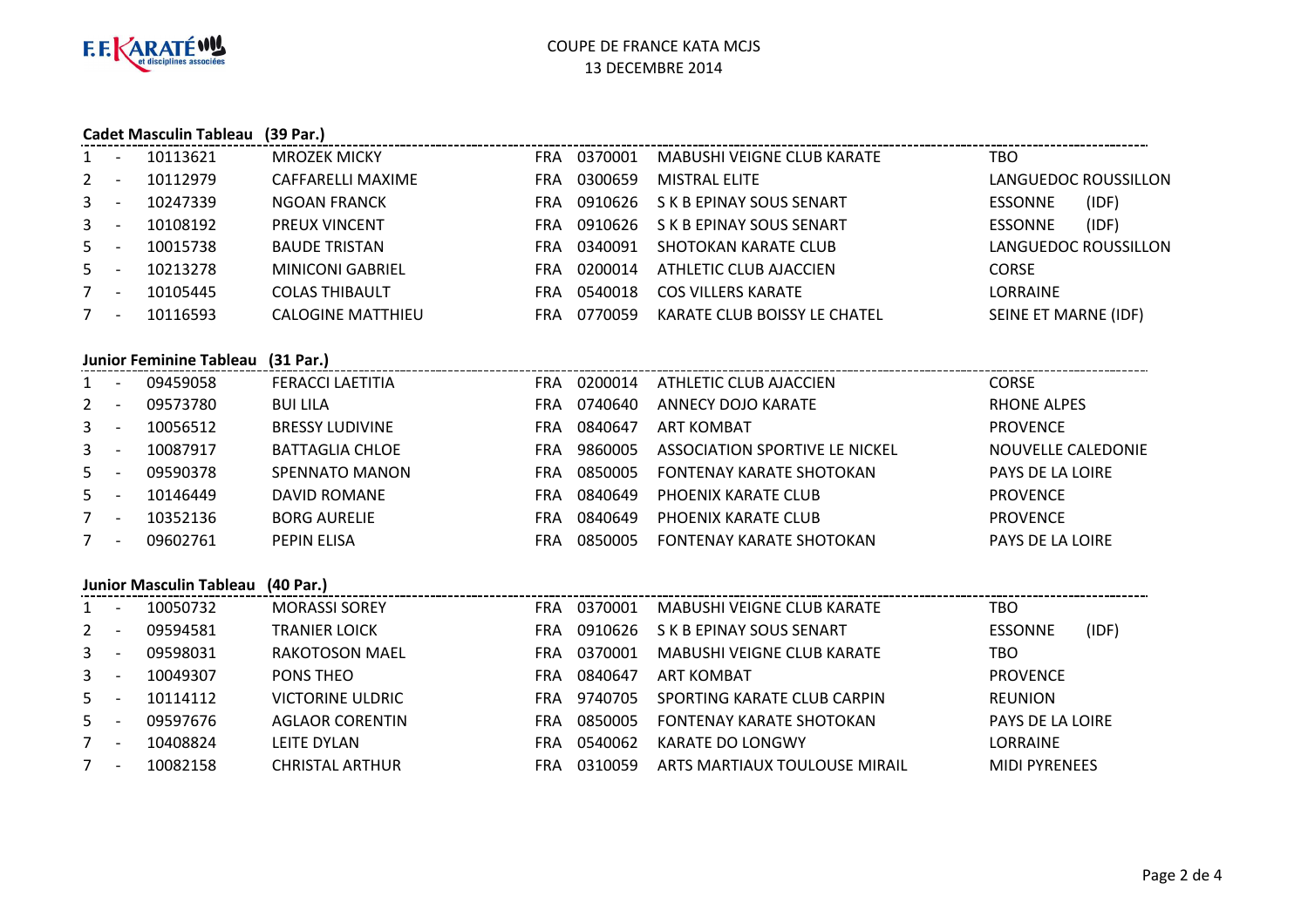

# COUPE DE FRANCE KATA MCJS13 DECEMBRE 2014

#### **Cadet Masculin Tableau (39 Par.)**

| Cauct Masculiii Tableau (33 Fail) |          |                         |            |         |                              |                         |  |  |  |
|-----------------------------------|----------|-------------------------|------------|---------|------------------------------|-------------------------|--|--|--|
| $1 -$                             | 10113621 | <b>MROZEK MICKY</b>     | <b>FRA</b> | 0370001 | MABUSHI VEIGNE CLUB KARATE   | TBO                     |  |  |  |
| $2 -$                             | 10112979 | CAFFARELLI MAXIME       | FRA        | 0300659 | <b>MISTRAL ELITE</b>         | LANGUEDOC ROUSSILLON    |  |  |  |
| $3 - 5$                           | 10247339 | NGOAN FRANCK            | FRA        | 0910626 | S K B EPINAY SOUS SENART     | (IDF)<br><b>ESSONNE</b> |  |  |  |
| $3 - 5$                           | 10108192 | <b>PREUX VINCENT</b>    | FRA        | 0910626 | S K B EPINAY SOUS SENART     | (IDF)<br><b>ESSONNE</b> |  |  |  |
| $5 -$                             | 10015738 | <b>BAUDE TRISTAN</b>    | FRA        | 0340091 | SHOTOKAN KARATE CLUB         | LANGUEDOC ROUSSILLON    |  |  |  |
| $5 -$                             | 10213278 | <b>MINICONI GABRIEL</b> | FRA        | 0200014 | ATHLETIC CLUB AJACCIEN       | <b>CORSE</b>            |  |  |  |
| $7 -$                             | 10105445 | <b>COLAS THIBAULT</b>   | FRA        | 0540018 | <b>COS VILLERS KARATE</b>    | LORRAINE                |  |  |  |
| $7 -$                             | 10116593 | CALOGINE MATTHIEU       | FRA        | 0770059 | KARATE CLUB BOISSY LE CHATEL | SEINE ET MARNE (IDF)    |  |  |  |
|                                   |          |                         |            |         |                              |                         |  |  |  |

## **Junior Feminine Tableau (31 Par.)**

| $\mathbf{1}$ | 09459058 | FERACCI LAETITIA       | <b>FRA</b> | 0200014 | ATHLETIC CLUB AJACCIEN          | <b>CORSE</b>       |
|--------------|----------|------------------------|------------|---------|---------------------------------|--------------------|
| 2            | 09573780 | <b>BUI LILA</b>        | <b>FRA</b> | 0740640 | ANNECY DOJO KARATE              | <b>RHONE ALPES</b> |
| $\mathbf{3}$ | 10056512 | <b>BRESSY LUDIVINE</b> | <b>FRA</b> | 0840647 | ART KOMBAT                      | <b>PROVENCE</b>    |
| $\mathbf{3}$ | 10087917 | <b>BATTAGLIA CHLOE</b> | FRA.       | 9860005 | ASSOCIATION SPORTIVE LE NICKEL  | NOUVELLE CALEDONIE |
| 5            | 09590378 | SPENNATO MANON         | FRA        | 0850005 | <b>FONTENAY KARATE SHOTOKAN</b> | PAYS DE LA LOIRE   |
| 5            | 10146449 | DAVID ROMANE           | <b>FRA</b> | 0840649 | PHOENIX KARATE CLUB             | <b>PROVENCE</b>    |
|              | 10352136 | <b>BORG AURELIE</b>    | FRA        | 0840649 | PHOENIX KARATE CLUB             | <b>PROVENCE</b>    |
|              | 09602761 | <b>PEPIN ELISA</b>     | FRA        | 0850005 | FONTENAY KARATE SHOTOKAN        | PAYS DE LA LOIRE   |

### **Junior Masculin Tableau (40 Par.)**

|             | <b>JUILUI IVIASCUIIII TADICAU (40 FAI.)</b> |          |                        |     |         |                                   |                         |  |  |  |
|-------------|---------------------------------------------|----------|------------------------|-----|---------|-----------------------------------|-------------------------|--|--|--|
| 1           |                                             | 10050732 | <b>MORASSI SOREY</b>   | FRA | 0370001 | <b>MABUSHI VEIGNE CLUB KARATE</b> | TBO                     |  |  |  |
| $2^{\circ}$ |                                             | 09594581 | <b>TRANIER LOICK</b>   | FRA | 0910626 | S K B EPINAY SOUS SENART          | (IDF)<br><b>ESSONNE</b> |  |  |  |
| $3 -$       |                                             | 09598031 | RAKOTOSON MAEL         | FRA | 0370001 | MABUSHI VEIGNE CLUB KARATE        | TBO                     |  |  |  |
| $3 -$       |                                             | 10049307 | PONS THEO              | FRA | 0840647 | <b>ART KOMBAT</b>                 | <b>PROVENCE</b>         |  |  |  |
| $5 -$       |                                             | 10114112 | VICTORINE ULDRIC       | FRA | 9740705 | SPORTING KARATE CLUB CARPIN       | <b>REUNION</b>          |  |  |  |
| $5 -$       |                                             | 09597676 | <b>AGLAOR CORENTIN</b> | FRA | 0850005 | <b>FONTENAY KARATE SHOTOKAN</b>   | PAYS DE LA LOIRE        |  |  |  |
| 7           |                                             | 10408824 | LEITE DYLAN            | FRA | 0540062 | KARATE DO LONGWY                  | LORRAINE                |  |  |  |
| 7           |                                             | 10082158 | CHRISTAL ARTHUR        | FRA | 0310059 | ARTS MARTIAUX TOULOUSE MIRAIL     | <b>MIDI PYRENEES</b>    |  |  |  |
|             |                                             |          |                        |     |         |                                   |                         |  |  |  |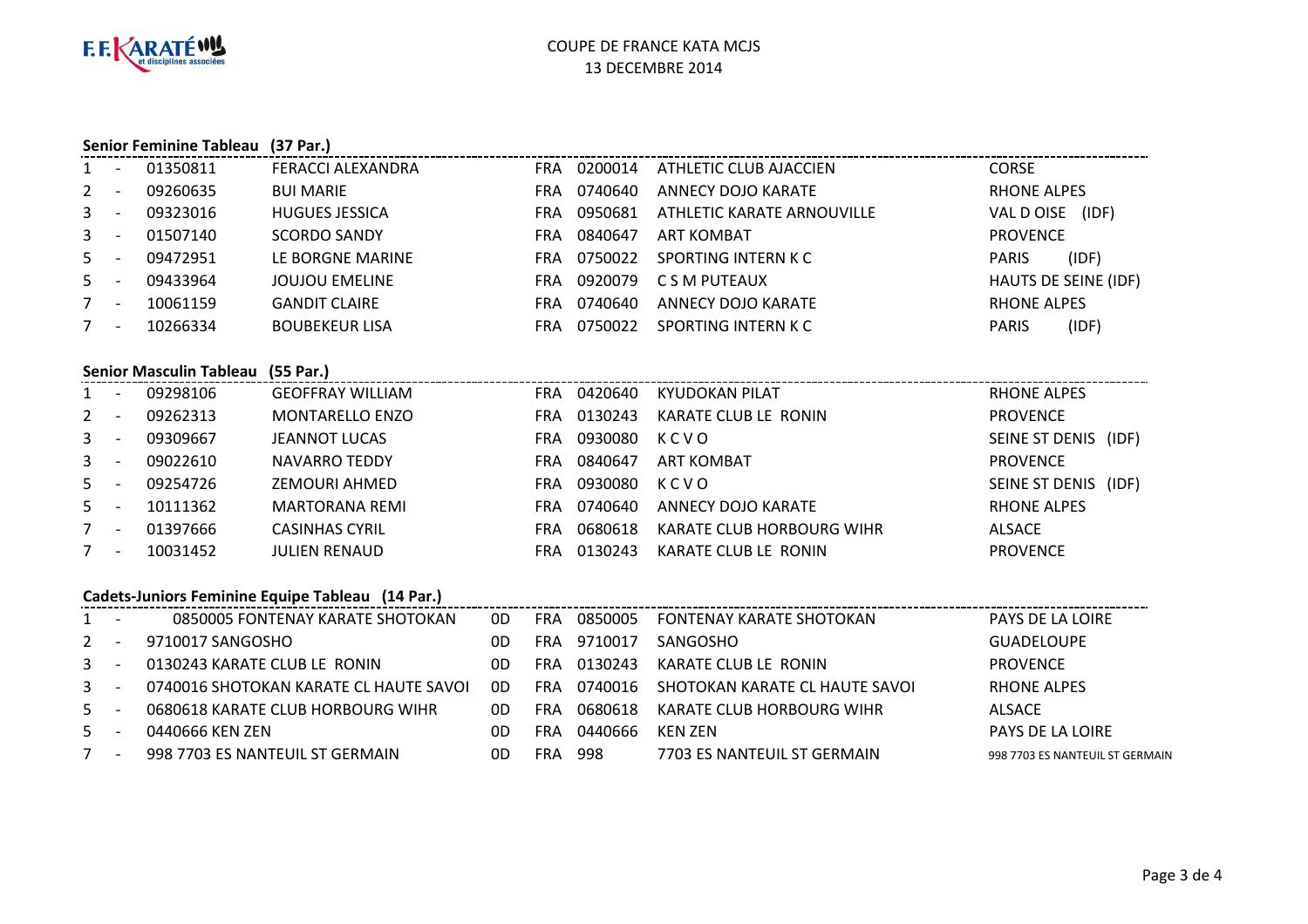

# COUPE DE FRANCE KATA MCJS13 DECEMBRE 2014

|                |                                                     | Senior Feminine Tableau (37 Par.)      |                                                  |    |            |             |                                    |                                 |
|----------------|-----------------------------------------------------|----------------------------------------|--------------------------------------------------|----|------------|-------------|------------------------------------|---------------------------------|
| 1              |                                                     | 01350811                               | <b>FERACCI ALEXANDRA</b>                         |    |            |             | FRA 0200014 ATHLETIC CLUB AJACCIEN | <b>CORSE</b>                    |
| $\overline{2}$ | $\overline{\phantom{a}}$                            | 09260635                               | <b>BUI MARIE</b>                                 |    |            | FRA 0740640 | <b>ANNECY DOJO KARATE</b>          | <b>RHONE ALPES</b>              |
| 3              | $\overline{a}$                                      | 09323016                               | <b>HUGUES JESSICA</b>                            |    |            | FRA 0950681 | ATHLETIC KARATE ARNOUVILLE         | VAL DOISE (IDF)                 |
| 3              | $\overline{a}$                                      | 01507140                               | <b>SCORDO SANDY</b>                              |    |            | FRA 0840647 | <b>ART KOMBAT</b>                  | <b>PROVENCE</b>                 |
| 5              | $\overline{a}$                                      | 09472951                               | LE BORGNE MARINE                                 |    |            | FRA 0750022 | <b>SPORTING INTERN K C</b>         | <b>PARIS</b><br>(IDF)           |
| 5 <sup>1</sup> | $\sim$ $-$                                          | 09433964                               | <b>JOUJOU EMELINE</b>                            |    |            | FRA 0920079 | C S M PUTEAUX                      | HAUTS DE SEINE (IDF)            |
|                | $7 -$                                               | 10061159                               | <b>GANDIT CLAIRE</b>                             |    |            | FRA 0740640 | <b>ANNECY DOJO KARATE</b>          | <b>RHONE ALPES</b>              |
| $7 -$          |                                                     | 10266334                               | <b>BOUBEKEUR LISA</b>                            |    |            | FRA 0750022 | <b>SPORTING INTERN K C</b>         | <b>PARIS</b><br>(IDF)           |
|                |                                                     | Senior Masculin Tableau (55 Par.)      |                                                  |    |            |             |                                    |                                 |
| $\mathbf{1}$   | $\overline{a}$                                      | 09298106                               | <b>GEOFFRAY WILLIAM</b>                          |    |            | FRA 0420640 | <b>KYUDOKAN PILAT</b>              | <b>RHONE ALPES</b>              |
| $\mathbf{2}$   | $\sim$                                              | 09262313                               | <b>MONTARELLO ENZO</b>                           |    |            | FRA 0130243 | KARATE CLUB LE RONIN               | <b>PROVENCE</b>                 |
| 3              | $\overline{a}$                                      | 09309667                               | <b>JEANNOT LUCAS</b>                             |    |            | FRA 0930080 | KCVO                               | SEINE ST DENIS (IDF)            |
| 3              | $\overline{a}$                                      | 09022610                               | <b>NAVARRO TEDDY</b>                             |    |            | FRA 0840647 | <b>ART KOMBAT</b>                  | <b>PROVENCE</b>                 |
| 5              | $\sim$                                              | 09254726                               | <b>ZEMOURI AHMED</b>                             |    |            | FRA 0930080 | KCVO                               | SEINE ST DENIS (IDF)            |
| 5              | $\sim$                                              | 10111362                               | <b>MARTORANA REMI</b>                            |    |            | FRA 0740640 | <b>ANNECY DOJO KARATE</b>          | <b>RHONE ALPES</b>              |
| $7^{\circ}$    | $\sim$                                              | 01397666                               | <b>CASINHAS CYRIL</b>                            |    |            | FRA 0680618 | KARATE CLUB HORBOURG WIHR          | <b>ALSACE</b>                   |
|                | $7 -$                                               | 10031452                               | <b>JULIEN RENAUD</b>                             |    |            | FRA 0130243 | KARATE CLUB LE RONIN               | <b>PROVENCE</b>                 |
|                |                                                     |                                        | Cadets-Juniors Feminine Equipe Tableau (14 Par.) |    |            |             |                                    |                                 |
| $\mathbf{1}$   | $\sim$                                              |                                        | 0850005 FONTENAY KARATE SHOTOKAN                 | 0D |            | FRA 0850005 | <b>FONTENAY KARATE SHOTOKAN</b>    | PAYS DE LA LOIRE                |
| $\overline{2}$ | $\sim$                                              | 9710017 SANGOSHO                       |                                                  | 0D |            | FRA 9710017 | SANGOSHO                           | <b>GUADELOUPE</b>               |
| $\mathbf{3}$   | $\sim$                                              | 0130243 KARATE CLUB LE RONIN           |                                                  |    |            | FRA 0130243 | KARATE CLUB LE RONIN               | <b>PROVENCE</b>                 |
| 3              | $\sim$                                              | 0740016 SHOTOKAN KARATE CL HAUTE SAVOL |                                                  |    |            | FRA 0740016 | SHOTOKAN KARATE CL HAUTE SAVOL     | <b>RHONE ALPES</b>              |
| 5              | 0680618 KARATE CLUB HORBOURG WIHR<br>$\overline{a}$ |                                        |                                                  | 0D | <b>FRA</b> | 0680618     | KARATE CLUB HORBOURG WIHR          | <b>ALSACE</b>                   |
| 5 <sup>1</sup> | $\overline{a}$                                      | 0440666 KEN ZEN                        |                                                  | 0D |            | FRA 0440666 | <b>KEN ZEN</b>                     | PAYS DE LA LOIRE                |
|                | $7 -$                                               |                                        | 998 7703 ES NANTEUIL ST GERMAIN                  | 0D |            | FRA 998     | 7703 ES NANTEUIL ST GERMAIN        | 998 7703 ES NANTEUIL ST GERMAIN |